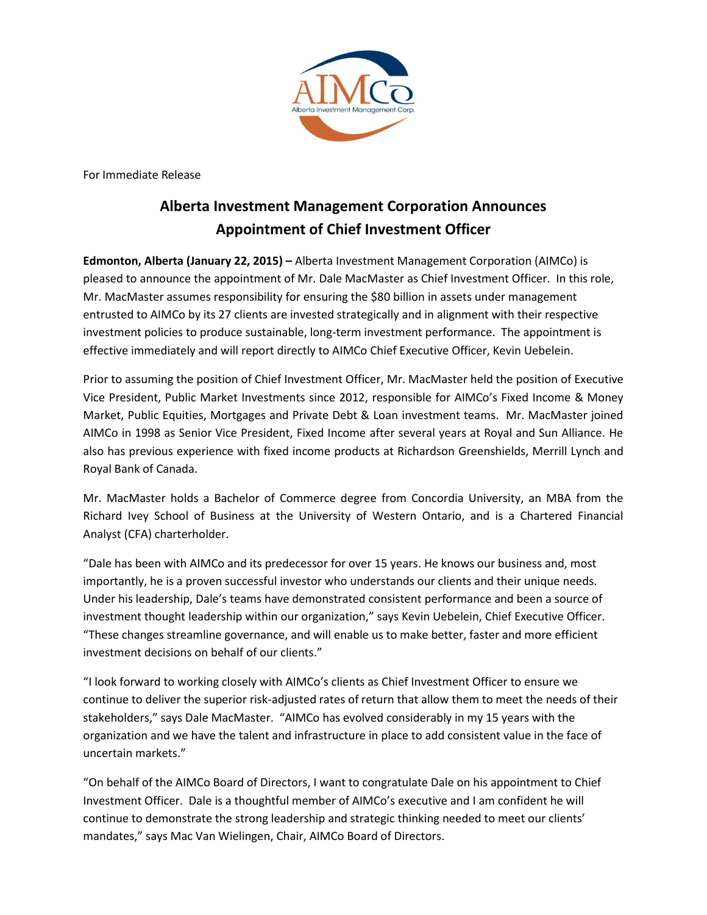

For Immediate Release

## **Alberta Investment Management Corporation Announces Appointment of Chief Investment Officer**

**Edmonton, Alberta (January 22, 2015) –** Alberta Investment Management Corporation (AIMCo) is pleased to announce the appointment of Mr. Dale MacMaster as Chief Investment Officer. In this role, Mr. MacMaster assumes responsibility for ensuring the \$80 billion in assets under management entrusted to AIMCo by its 27 clients are invested strategically and in alignment with their respective investment policies to produce sustainable, long-term investment performance. The appointment is effective immediately and will report directly to AIMCo Chief Executive Officer, Kevin Uebelein.

Prior to assuming the position of Chief Investment Officer, Mr. MacMaster held the position of Executive Vice President, Public Market Investments since 2012, responsible for AIMCo's Fixed Income & Money Market, Public Equities, Mortgages and Private Debt & Loan investment teams. Mr. MacMaster joined AIMCo in 1998 as Senior Vice President, Fixed Income after several years at Royal and Sun Alliance. He also has previous experience with fixed income products at Richardson Greenshields, Merrill Lynch and Royal Bank of Canada.

Mr. MacMaster holds a Bachelor of Commerce degree from Concordia University, an MBA from the Richard Ivey School of Business at the University of Western Ontario, and is a Chartered Financial Analyst (CFA) charterholder.

"Dale has been with AIMCo and its predecessor for over 15 years. He knows our business and, most importantly, he is a proven successful investor who understands our clients and their unique needs. Under his leadership, Dale's teams have demonstrated consistent performance and been a source of investment thought leadership within our organization," says Kevin Uebelein, Chief Executive Officer. "These changes streamline governance, and will enable us to make better, faster and more efficient investment decisions on behalf of our clients."

"I look forward to working closely with AIMCo's clients as Chief Investment Officer to ensure we continue to deliver the superior risk-adjusted rates of return that allow them to meet the needs of their stakeholders," says Dale MacMaster. "AIMCo has evolved considerably in my 15 years with the organization and we have the talent and infrastructure in place to add consistent value in the face of uncertain markets."

"On behalf of the AIMCo Board of Directors, I want to congratulate Dale on his appointment to Chief Investment Officer. Dale is a thoughtful member of AIMCo's executive and I am confident he will continue to demonstrate the strong leadership and strategic thinking needed to meet our clients' mandates," says Mac Van Wielingen, Chair, AIMCo Board of Directors.